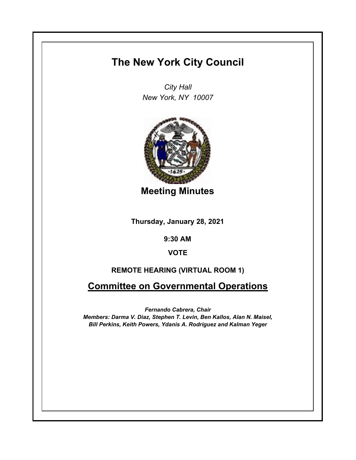# **The New York City Council**

*City Hall New York, NY 10007*



**Meeting Minutes**

**Thursday, January 28, 2021**

**9:30 AM**

**VOTE**

# **REMOTE HEARING (VIRTUAL ROOM 1)**

**Committee on Governmental Operations**

*Fernando Cabrera, Chair Members: Darma V. Diaz, Stephen T. Levin, Ben Kallos, Alan N. Maisel, Bill Perkins, Keith Powers, Ydanis A. Rodriguez and Kalman Yeger*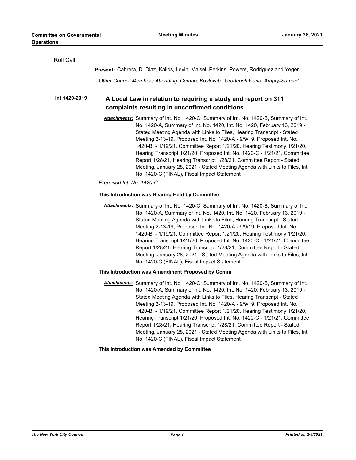| Roll Call     |                                                                                                                                                                                                                                                                                                                                                                                                                                                                                                                                                                                                                                                                                   |
|---------------|-----------------------------------------------------------------------------------------------------------------------------------------------------------------------------------------------------------------------------------------------------------------------------------------------------------------------------------------------------------------------------------------------------------------------------------------------------------------------------------------------------------------------------------------------------------------------------------------------------------------------------------------------------------------------------------|
|               | Present: Cabrera, D. Diaz, Kallos, Levin, Maisel, Perkins, Powers, Rodriguez and Yeger                                                                                                                                                                                                                                                                                                                                                                                                                                                                                                                                                                                            |
|               | Other Council Members Attending: Cumbo, Koslowitz, Grodenchik and Ampry-Samuel                                                                                                                                                                                                                                                                                                                                                                                                                                                                                                                                                                                                    |
| Int 1420-2019 | A Local Law in relation to requiring a study and report on 311                                                                                                                                                                                                                                                                                                                                                                                                                                                                                                                                                                                                                    |
|               | complaints resulting in unconfirmed conditions                                                                                                                                                                                                                                                                                                                                                                                                                                                                                                                                                                                                                                    |
|               | Attachments: Summary of Int. No. 1420-C, Summary of Int. No. 1420-B, Summary of Int.<br>No. 1420-A, Summary of Int. No. 1420, Int. No. 1420, February 13, 2019 -<br>Stated Meeting Agenda with Links to Files, Hearing Transcript - Stated<br>Meeting 2-13-19, Proposed Int. No. 1420-A - 9/9/19, Proposed Int. No.<br>1420-B - 1/19/21, Committee Report 1/21/20, Hearing Testimony 1/21/20,<br>Hearing Transcript 1/21/20, Proposed Int. No. 1420-C - 1/21/21, Committee<br>Report 1/28/21, Hearing Transcript 1/28/21, Committee Report - Stated<br>Meeting, January 28, 2021 - Stated Meeting Agenda with Links to Files, Int.<br>No. 1420-C (FINAL), Fiscal Impact Statement |
|               | Proposed Int. No. 1420-C                                                                                                                                                                                                                                                                                                                                                                                                                                                                                                                                                                                                                                                          |
|               | This Introduction was Hearing Held by Committee                                                                                                                                                                                                                                                                                                                                                                                                                                                                                                                                                                                                                                   |
|               | Attachments: Summary of Int. No. 1420-C, Summary of Int. No. 1420-B, Summary of Int.<br>No. 1420-A, Summary of Int. No. 1420, Int. No. 1420, February 13, 2019 -<br>Stated Meeting Agenda with Links to Files, Hearing Transcript - Stated<br>Meeting 2-13-19, Proposed Int. No. 1420-A - 9/9/19, Proposed Int. No.<br>1420-B - 1/19/21, Committee Report 1/21/20, Hearing Testimony 1/21/20,<br>Hearing Transcript 1/21/20, Proposed Int. No. 1420-C - 1/21/21, Committee<br>Report 1/28/21, Hearing Transcript 1/28/21, Committee Report - Stated<br>Meeting, January 28, 2021 - Stated Meeting Agenda with Links to Files, Int.<br>No. 1420-C (FINAL), Fiscal Impact Statement |
|               | This Introduction was Amendment Proposed by Comm                                                                                                                                                                                                                                                                                                                                                                                                                                                                                                                                                                                                                                  |
|               | Attachments: Summary of Int. No. 1420-C, Summary of Int. No. 1420-B, Summary of Int.<br>No. 1420-A, Summary of Int. No. 1420, Int. No. 1420, February 13, 2019 -<br>Stated Meeting Agenda with Links to Files, Hearing Transcript - Stated<br>Meeting 2-13-19, Proposed Int. No. 1420-A - 9/9/19, Proposed Int. No.<br>1420-B - 1/19/21, Committee Report 1/21/20, Hearing Testimony 1/21/20,<br>Hearing Transcript 1/21/20, Proposed Int. No. 1420-C - 1/21/21, Committee<br>Report 1/28/21, Hearing Transcript 1/28/21, Committee Report - Stated<br>Meeting, January 28, 2021 - Stated Meeting Agenda with Links to Files, Int.<br>No. 1420-C (FINAL), Fiscal Impact Statement |
|               | This Introduction was Amended by Committee                                                                                                                                                                                                                                                                                                                                                                                                                                                                                                                                                                                                                                        |
|               |                                                                                                                                                                                                                                                                                                                                                                                                                                                                                                                                                                                                                                                                                   |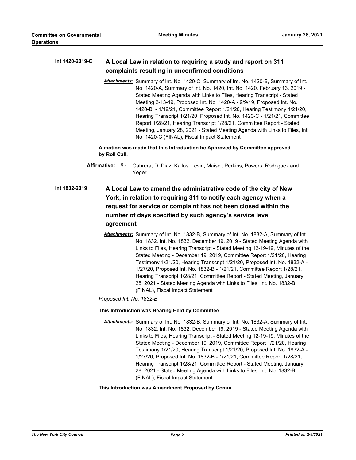#### **A Local Law in relation to requiring a study and report on 311 complaints resulting in unconfirmed conditions Int 1420-2019-C**

*Attachments:* Summary of Int. No. 1420-C, Summary of Int. No. 1420-B, Summary of Int. No. 1420-A, Summary of Int. No. 1420, Int. No. 1420, February 13, 2019 - Stated Meeting Agenda with Links to Files, Hearing Transcript - Stated Meeting 2-13-19, Proposed Int. No. 1420-A - 9/9/19, Proposed Int. No. 1420-B - 1/19/21, Committee Report 1/21/20, Hearing Testimony 1/21/20, Hearing Transcript 1/21/20, Proposed Int. No. 1420-C - 1/21/21, Committee Report 1/28/21, Hearing Transcript 1/28/21, Committee Report - Stated Meeting, January 28, 2021 - Stated Meeting Agenda with Links to Files, Int. No. 1420-C (FINAL), Fiscal Impact Statement

**A motion was made that this Introduction be Approved by Committee approved by Roll Call.**

- Affirmative: 9- Cabrera, D. Diaz, Kallos, Levin, Maisel, Perkins, Powers, Rodriguez and Yeger
- **A Local Law to amend the administrative code of the city of New York, in relation to requiring 311 to notify each agency when a request for service or complaint has not been closed within the number of days specified by such agency's service level agreement Int 1832-2019**
	- *Attachments:* Summary of Int. No. 1832-B, Summary of Int. No. 1832-A, Summary of Int. No. 1832, Int. No. 1832, December 19, 2019 - Stated Meeting Agenda with Links to Files, Hearing Transcript - Stated Meeting 12-19-19, Minutes of the Stated Meeting - December 19, 2019, Committee Report 1/21/20, Hearing Testimony 1/21/20, Hearing Transcript 1/21/20, Proposed Int. No. 1832-A - 1/27/20, Proposed Int. No. 1832-B - 1/21/21, Committee Report 1/28/21, Hearing Transcript 1/28/21, Committee Report - Stated Meeting, January 28, 2021 - Stated Meeting Agenda with Links to Files, Int. No. 1832-B (FINAL), Fiscal Impact Statement

*Proposed Int. No. 1832-B*

# **This Introduction was Hearing Held by Committee**

*Attachments:* Summary of Int. No. 1832-B, Summary of Int. No. 1832-A, Summary of Int. No. 1832, Int. No. 1832, December 19, 2019 - Stated Meeting Agenda with Links to Files, Hearing Transcript - Stated Meeting 12-19-19, Minutes of the Stated Meeting - December 19, 2019, Committee Report 1/21/20, Hearing Testimony 1/21/20, Hearing Transcript 1/21/20, Proposed Int. No. 1832-A - 1/27/20, Proposed Int. No. 1832-B - 1/21/21, Committee Report 1/28/21, Hearing Transcript 1/28/21, Committee Report - Stated Meeting, January 28, 2021 - Stated Meeting Agenda with Links to Files, Int. No. 1832-B (FINAL), Fiscal Impact Statement

# **This Introduction was Amendment Proposed by Comm**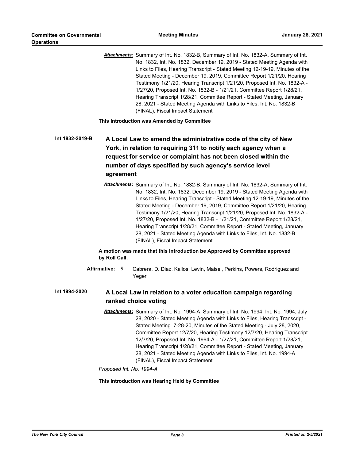*Attachments:* Summary of Int. No. 1832-B, Summary of Int. No. 1832-A, Summary of Int. No. 1832, Int. No. 1832, December 19, 2019 - Stated Meeting Agenda with Links to Files, Hearing Transcript - Stated Meeting 12-19-19, Minutes of the Stated Meeting - December 19, 2019, Committee Report 1/21/20, Hearing Testimony 1/21/20, Hearing Transcript 1/21/20, Proposed Int. No. 1832-A - 1/27/20, Proposed Int. No. 1832-B - 1/21/21, Committee Report 1/28/21, Hearing Transcript 1/28/21, Committee Report - Stated Meeting, January 28, 2021 - Stated Meeting Agenda with Links to Files, Int. No. 1832-B (FINAL), Fiscal Impact Statement

**This Introduction was Amended by Committee**

**A Local Law to amend the administrative code of the city of New York, in relation to requiring 311 to notify each agency when a request for service or complaint has not been closed within the number of days specified by such agency's service level agreement Int 1832-2019-B**

> *Attachments:* Summary of Int. No. 1832-B, Summary of Int. No. 1832-A, Summary of Int. No. 1832, Int. No. 1832, December 19, 2019 - Stated Meeting Agenda with Links to Files, Hearing Transcript - Stated Meeting 12-19-19, Minutes of the Stated Meeting - December 19, 2019, Committee Report 1/21/20, Hearing Testimony 1/21/20, Hearing Transcript 1/21/20, Proposed Int. No. 1832-A - 1/27/20, Proposed Int. No. 1832-B - 1/21/21, Committee Report 1/28/21, Hearing Transcript 1/28/21, Committee Report - Stated Meeting, January 28, 2021 - Stated Meeting Agenda with Links to Files, Int. No. 1832-B (FINAL), Fiscal Impact Statement

# **A motion was made that this Introduction be Approved by Committee approved by Roll Call.**

**Affirmative:** Cabrera, D. Diaz, Kallos, Levin, Maisel, Perkins, Powers, Rodriguez and Yeger Affirmative: 9-

#### **A Local Law in relation to a voter education campaign regarding ranked choice voting Int 1994-2020**

*Attachments:* Summary of Int. No. 1994-A, Summary of Int. No. 1994, Int. No. 1994, July 28, 2020 - Stated Meeting Agenda with Links to Files, Hearing Transcript - Stated Meeting 7-28-20, Minutes of the Stated Meeting - July 28, 2020, Committee Report 12/7/20, Hearing Testimony 12/7/20, Hearing Transcript 12/7/20, Proposed Int. No. 1994-A - 1/27/21, Committee Report 1/28/21, Hearing Transcript 1/28/21, Committee Report - Stated Meeting, January 28, 2021 - Stated Meeting Agenda with Links to Files, Int. No. 1994-A (FINAL), Fiscal Impact Statement

*Proposed Int. No. 1994-A*

# **This Introduction was Hearing Held by Committee**